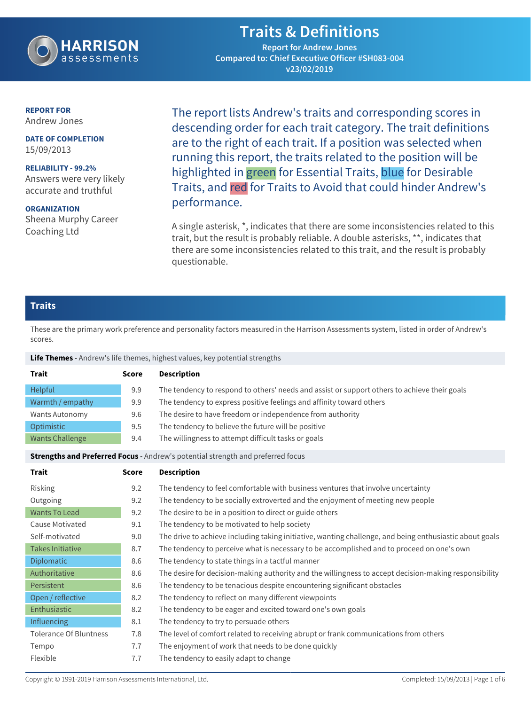

## **Traits & Definitions**

**Report for Andrew Jones Compared to: Chief Executive Officer #SH083-004 v23/02/2019**

#### **REPORT FOR** Andrew Jones

**DATE OF COMPLETION** 15/09/2013

**RELIABILITY - 99.2%** Answers were very likely accurate and truthful

**ORGANIZATION** Sheena Murphy Career Coaching Ltd

The report lists Andrew's traits and corresponding scores in descending order for each trait category. The trait definitions are to the right of each trait. If a position was selected when running this report, the traits related to the position will be highlighted in green for Essential Traits, blue for Desirable Traits, and red for Traits to Avoid that could hinder Andrew's performance.

A single asterisk, \*, indicates that there are some inconsistencies related to this trait, but the result is probably reliable. A double asterisks, \*\*, indicates that there are some inconsistencies related to this trait, and the result is probably questionable.

### **Traits**

These are the primary work preference and personality factors measured in the Harrison Assessments system, listed in order of Andrew's scores.

**Life Themes** - Andrew's life themes, highest values, key potential strengths

| <b>Trait</b>           | <b>Score</b> | <b>Description</b>                                                                           |
|------------------------|--------------|----------------------------------------------------------------------------------------------|
| <b>Helpful</b>         | 9.9          | The tendency to respond to others' needs and assist or support others to achieve their goals |
| Warmth / empathy       | 9.9          | The tendency to express positive feelings and affinity toward others                         |
| Wants Autonomy         | 9.6          | The desire to have freedom or independence from authority                                    |
| Optimistic             | 9.5          | The tendency to believe the future will be positive                                          |
| <b>Wants Challenge</b> | 9.4          | The willingness to attempt difficult tasks or goals                                          |

**Strengths and Preferred Focus** - Andrew's potential strength and preferred focus

| Trait                         | <b>Score</b> | <b>Description</b>                                                                                      |
|-------------------------------|--------------|---------------------------------------------------------------------------------------------------------|
| Risking                       | 9.2          | The tendency to feel comfortable with business ventures that involve uncertainty                        |
| Outgoing                      | 9.2          | The tendency to be socially extroverted and the enjoyment of meeting new people                         |
| <b>Wants To Lead</b>          | 9.2          | The desire to be in a position to direct or guide others                                                |
| Cause Motivated               | 9.1          | The tendency to be motivated to help society                                                            |
| Self-motivated                | 9.0          | The drive to achieve including taking initiative, wanting challenge, and being enthusiastic about goals |
| <b>Takes Initiative</b>       | 8.7          | The tendency to perceive what is necessary to be accomplished and to proceed on one's own               |
| <b>Diplomatic</b>             | 8.6          | The tendency to state things in a tactful manner                                                        |
| Authoritative                 | 8.6          | The desire for decision-making authority and the willingness to accept decision-making responsibility   |
| Persistent                    | 8.6          | The tendency to be tenacious despite encountering significant obstacles                                 |
| Open / reflective             | 8.2          | The tendency to reflect on many different viewpoints                                                    |
| Enthusiastic                  | 8.2          | The tendency to be eager and excited toward one's own goals                                             |
| <b>Influencing</b>            | 8.1          | The tendency to try to persuade others                                                                  |
| <b>Tolerance Of Bluntness</b> | 7.8          | The level of comfort related to receiving abrupt or frank communications from others                    |
| Tempo                         | 7.7          | The enjoyment of work that needs to be done quickly                                                     |
| Flexible                      | 7.7          | The tendency to easily adapt to change                                                                  |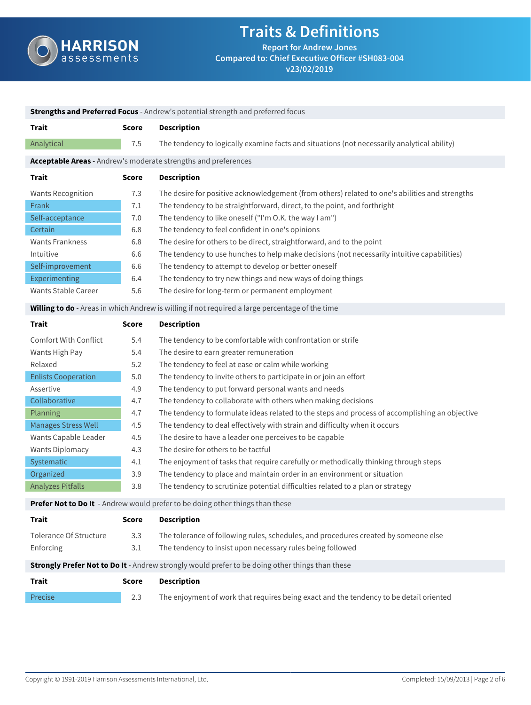

**v23/02/2019**

| <b>Strengths and Preferred Focus</b> - Andrew's potential strength and preferred focus                                                                                                                                                                                   |                                                                                         |                                                                                                                                                                                                                                                                                                                                                                                                                                                                                                                                                                                                                                                                                                                                                                                                                                                                                                    |  |
|--------------------------------------------------------------------------------------------------------------------------------------------------------------------------------------------------------------------------------------------------------------------------|-----------------------------------------------------------------------------------------|----------------------------------------------------------------------------------------------------------------------------------------------------------------------------------------------------------------------------------------------------------------------------------------------------------------------------------------------------------------------------------------------------------------------------------------------------------------------------------------------------------------------------------------------------------------------------------------------------------------------------------------------------------------------------------------------------------------------------------------------------------------------------------------------------------------------------------------------------------------------------------------------------|--|
| <b>Trait</b>                                                                                                                                                                                                                                                             | <b>Score</b>                                                                            | <b>Description</b>                                                                                                                                                                                                                                                                                                                                                                                                                                                                                                                                                                                                                                                                                                                                                                                                                                                                                 |  |
| Analytical                                                                                                                                                                                                                                                               | 7.5                                                                                     | The tendency to logically examine facts and situations (not necessarily analytical ability)                                                                                                                                                                                                                                                                                                                                                                                                                                                                                                                                                                                                                                                                                                                                                                                                        |  |
|                                                                                                                                                                                                                                                                          |                                                                                         | Acceptable Areas - Andrew's moderate strengths and preferences                                                                                                                                                                                                                                                                                                                                                                                                                                                                                                                                                                                                                                                                                                                                                                                                                                     |  |
| <b>Trait</b>                                                                                                                                                                                                                                                             | <b>Score</b>                                                                            | <b>Description</b>                                                                                                                                                                                                                                                                                                                                                                                                                                                                                                                                                                                                                                                                                                                                                                                                                                                                                 |  |
| <b>Wants Recognition</b><br>Frank<br>Self-acceptance<br>Certain<br><b>Wants Frankness</b><br>Intuitive<br>Self-improvement<br>Experimenting                                                                                                                              | 7.3<br>7.1<br>7.0<br>6.8<br>6.8<br>6.6<br>6.6<br>6.4                                    | The desire for positive acknowledgement (from others) related to one's abilities and strengths<br>The tendency to be straightforward, direct, to the point, and forthright<br>The tendency to like oneself ("I'm O.K. the way I am")<br>The tendency to feel confident in one's opinions<br>The desire for others to be direct, straightforward, and to the point<br>The tendency to use hunches to help make decisions (not necessarily intuitive capabilities)<br>The tendency to attempt to develop or better oneself<br>The tendency to try new things and new ways of doing things                                                                                                                                                                                                                                                                                                            |  |
| <b>Wants Stable Career</b>                                                                                                                                                                                                                                               | 5.6                                                                                     | The desire for long-term or permanent employment                                                                                                                                                                                                                                                                                                                                                                                                                                                                                                                                                                                                                                                                                                                                                                                                                                                   |  |
|                                                                                                                                                                                                                                                                          |                                                                                         | Willing to do - Areas in which Andrew is willing if not required a large percentage of the time                                                                                                                                                                                                                                                                                                                                                                                                                                                                                                                                                                                                                                                                                                                                                                                                    |  |
| <b>Trait</b>                                                                                                                                                                                                                                                             | <b>Score</b>                                                                            | <b>Description</b>                                                                                                                                                                                                                                                                                                                                                                                                                                                                                                                                                                                                                                                                                                                                                                                                                                                                                 |  |
| <b>Comfort With Conflict</b><br>Wants High Pay<br>Relaxed<br><b>Enlists Cooperation</b><br>Assertive<br>Collaborative<br>Planning<br><b>Manages Stress Well</b><br>Wants Capable Leader<br><b>Wants Diplomacy</b><br>Systematic<br>Organized<br><b>Analyzes Pitfalls</b> | 5.4<br>5.4<br>5.2<br>5.0<br>4.9<br>4.7<br>4.7<br>4.5<br>4.5<br>4.3<br>4.1<br>3.9<br>3.8 | The tendency to be comfortable with confrontation or strife<br>The desire to earn greater remuneration<br>The tendency to feel at ease or calm while working<br>The tendency to invite others to participate in or join an effort<br>The tendency to put forward personal wants and needs<br>The tendency to collaborate with others when making decisions<br>The tendency to formulate ideas related to the steps and process of accomplishing an objective<br>The tendency to deal effectively with strain and difficulty when it occurs<br>The desire to have a leader one perceives to be capable<br>The desire for others to be tactful<br>The enjoyment of tasks that require carefully or methodically thinking through steps<br>The tendency to place and maintain order in an environment or situation<br>The tendency to scrutinize potential difficulties related to a plan or strategy |  |
|                                                                                                                                                                                                                                                                          |                                                                                         | Prefer Not to Do It - Andrew would prefer to be doing other things than these                                                                                                                                                                                                                                                                                                                                                                                                                                                                                                                                                                                                                                                                                                                                                                                                                      |  |
| <b>Trait</b>                                                                                                                                                                                                                                                             | <b>Score</b>                                                                            | <b>Description</b>                                                                                                                                                                                                                                                                                                                                                                                                                                                                                                                                                                                                                                                                                                                                                                                                                                                                                 |  |
| <b>Tolerance Of Structure</b><br>Enforcing                                                                                                                                                                                                                               | 3.3<br>3.1                                                                              | The tolerance of following rules, schedules, and procedures created by someone else<br>The tendency to insist upon necessary rules being followed                                                                                                                                                                                                                                                                                                                                                                                                                                                                                                                                                                                                                                                                                                                                                  |  |
|                                                                                                                                                                                                                                                                          |                                                                                         | Strongly Prefer Not to Do It - Andrew strongly would prefer to be doing other things than these                                                                                                                                                                                                                                                                                                                                                                                                                                                                                                                                                                                                                                                                                                                                                                                                    |  |
| <b>Trait</b>                                                                                                                                                                                                                                                             | <b>Score</b>                                                                            | <b>Description</b>                                                                                                                                                                                                                                                                                                                                                                                                                                                                                                                                                                                                                                                                                                                                                                                                                                                                                 |  |
| Precise                                                                                                                                                                                                                                                                  | 2.3                                                                                     | The enjoyment of work that requires being exact and the tendency to be detail oriented                                                                                                                                                                                                                                                                                                                                                                                                                                                                                                                                                                                                                                                                                                                                                                                                             |  |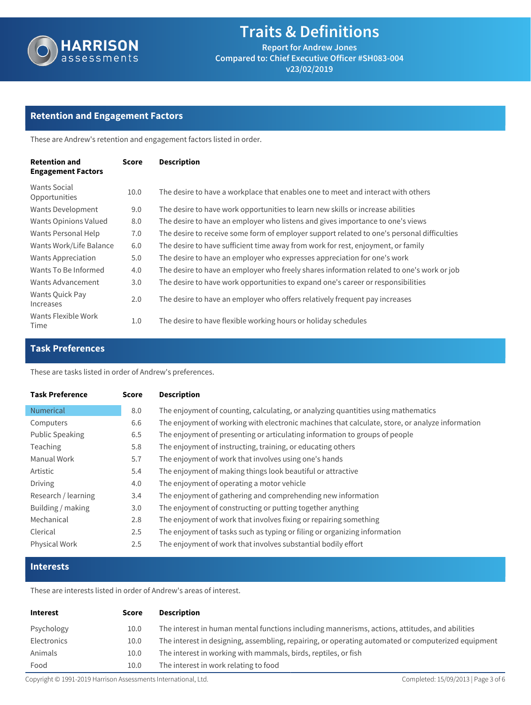

# **Traits & Definitions**

**Report for Andrew Jones Compared to: Chief Executive Officer #SH083-004 v23/02/2019**

### **Retention and Engagement Factors**

These are Andrew's retention and engagement factors listed in order.

| <b>Retention and</b><br><b>Engagement Factors</b> | Score | <b>Description</b>                                                                         |
|---------------------------------------------------|-------|--------------------------------------------------------------------------------------------|
| <b>Wants Social</b><br>Opportunities              | 10.0  | The desire to have a workplace that enables one to meet and interact with others           |
| Wants Development                                 | 9.0   | The desire to have work opportunities to learn new skills or increase abilities            |
| <b>Wants Opinions Valued</b>                      | 8.0   | The desire to have an employer who listens and gives importance to one's views             |
| Wants Personal Help                               | 7.0   | The desire to receive some form of employer support related to one's personal difficulties |
| Wants Work/Life Balance                           | 6.0   | The desire to have sufficient time away from work for rest, enjoyment, or family           |
| <b>Wants Appreciation</b>                         | 5.0   | The desire to have an employer who expresses appreciation for one's work                   |
| Wants To Be Informed                              | 4.0   | The desire to have an employer who freely shares information related to one's work or job  |
| Wants Advancement                                 | 3.0   | The desire to have work opportunities to expand one's career or responsibilities           |
| Wants Quick Pay<br>Increases                      | 2.0   | The desire to have an employer who offers relatively frequent pay increases                |
| Wants Flexible Work<br>Time                       | 1.0   | The desire to have flexible working hours or holiday schedules                             |

### **Task Preferences**

These are tasks listed in order of Andrew's preferences.

| <b>Task Preference</b> | Score | <b>Description</b>                                                                              |
|------------------------|-------|-------------------------------------------------------------------------------------------------|
| <b>Numerical</b>       | 8.0   | The enjoyment of counting, calculating, or analyzing quantities using mathematics               |
| Computers              | 6.6   | The enjoyment of working with electronic machines that calculate, store, or analyze information |
| <b>Public Speaking</b> | 6.5   | The enjoyment of presenting or articulating information to groups of people                     |
| <b>Teaching</b>        | 5.8   | The enjoyment of instructing, training, or educating others                                     |
| Manual Work            | 5.7   | The enjoyment of work that involves using one's hands                                           |
| Artistic               | 5.4   | The enjoyment of making things look beautiful or attractive                                     |
| <b>Driving</b>         | 4.0   | The enjoyment of operating a motor vehicle                                                      |
| Research / learning    | 3.4   | The enjoyment of gathering and comprehending new information                                    |
| Building / making      | 3.0   | The enjoyment of constructing or putting together anything                                      |
| Mechanical             | 2.8   | The enjoyment of work that involves fixing or repairing something                               |
| Clerical               | 2.5   | The enjoyment of tasks such as typing or filing or organizing information                       |
| <b>Physical Work</b>   | 2.5   | The enjoyment of work that involves substantial bodily effort                                   |

#### **Interests**

These are interests listed in order of Andrew's areas of interest.

| <b>Interest</b> | Score | Description                                                                                        |
|-----------------|-------|----------------------------------------------------------------------------------------------------|
| Psychology      | 10.0  | The interest in human mental functions including mannerisms, actions, attitudes, and abilities     |
| Electronics     | 10.0  | The interest in designing, assembling, repairing, or operating automated or computerized equipment |
| Animals         | 10.0  | The interest in working with mammals, birds, reptiles, or fish                                     |
| Food            | 10.0  | The interest in work relating to food                                                              |

Copyright © 1991-2019 Harrison Assessments International, Ltd. Completed: 15/09/2013 | Page 3 of 6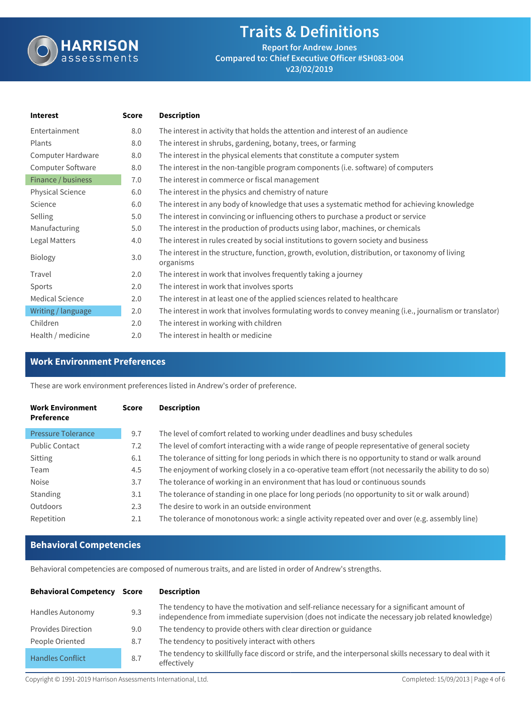

### **Traits & Definitions Report for Andrew Jones Compared to: Chief Executive Officer #SH083-004**

**v23/02/2019**

| <b>Score</b> | <b>Description</b>                                                                                           |
|--------------|--------------------------------------------------------------------------------------------------------------|
| 8.0          | The interest in activity that holds the attention and interest of an audience                                |
| 8.0          | The interest in shrubs, gardening, botany, trees, or farming                                                 |
| 8.0          | The interest in the physical elements that constitute a computer system                                      |
| 8.0          | The interest in the non-tangible program components (i.e. software) of computers                             |
| 7.0          | The interest in commerce or fiscal management                                                                |
| 6.0          | The interest in the physics and chemistry of nature                                                          |
| 6.0          | The interest in any body of knowledge that uses a systematic method for achieving knowledge                  |
| 5.0          | The interest in convincing or influencing others to purchase a product or service                            |
| 5.0          | The interest in the production of products using labor, machines, or chemicals                               |
| 4.0          | The interest in rules created by social institutions to govern society and business                          |
| 3.0          | The interest in the structure, function, growth, evolution, distribution, or taxonomy of living<br>organisms |
| 2.0          | The interest in work that involves frequently taking a journey                                               |
| 2.0          | The interest in work that involves sports                                                                    |
| 2.0          | The interest in at least one of the applied sciences related to healthcare                                   |
| 2.0          | The interest in work that involves formulating words to convey meaning (i.e., journalism or translator)      |
| 2.0          | The interest in working with children                                                                        |
| 2.0          | The interest in health or medicine                                                                           |
|              |                                                                                                              |

### **Work Environment Preferences**

These are work environment preferences listed in Andrew's order of preference.

| <b>Work Environment</b><br><b>Preference</b> | <b>Score</b> | <b>Description</b>                                                                                    |
|----------------------------------------------|--------------|-------------------------------------------------------------------------------------------------------|
| <b>Pressure Tolerance</b>                    | 9.7          | The level of comfort related to working under deadlines and busy schedules                            |
| <b>Public Contact</b>                        | 7.2          | The level of comfort interacting with a wide range of people representative of general society        |
| Sitting                                      | 6.1          | The tolerance of sitting for long periods in which there is no opportunity to stand or walk around    |
| Team                                         | 4.5          | The enjoyment of working closely in a co-operative team effort (not necessarily the ability to do so) |
| Noise                                        | 3.7          | The tolerance of working in an environment that has loud or continuous sounds                         |
| Standing                                     | 3.1          | The tolerance of standing in one place for long periods (no opportunity to sit or walk around)        |
| Outdoors                                     | 2.3          | The desire to work in an outside environment                                                          |
| Repetition                                   | 2.1          | The tolerance of monotonous work: a single activity repeated over and over (e.g. assembly line)       |

### **Behavioral Competencies**

Behavioral competencies are composed of numerous traits, and are listed in order of Andrew's strengths.

| <b>Behavioral Competency</b> | Score | <b>Description</b>                                                                                                                                                                             |
|------------------------------|-------|------------------------------------------------------------------------------------------------------------------------------------------------------------------------------------------------|
| Handles Autonomy             | 9.3   | The tendency to have the motivation and self-reliance necessary for a significant amount of<br>independence from immediate supervision (does not indicate the necessary job related knowledge) |
| <b>Provides Direction</b>    | 9.0   | The tendency to provide others with clear direction or guidance                                                                                                                                |
| People Oriented              | 8.7   | The tendency to positively interact with others                                                                                                                                                |
| <b>Handles Conflict</b>      | 8.7   | The tendency to skillfully face discord or strife, and the interpersonal skills necessary to deal with it<br>effectively                                                                       |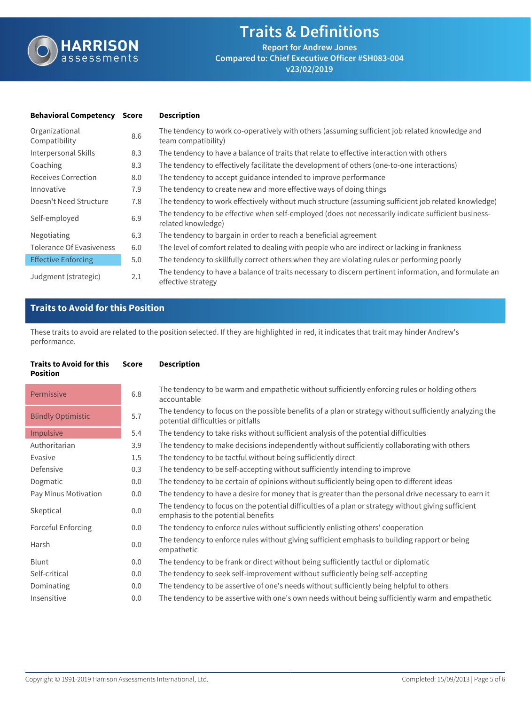

| <b>Behavioral Competency</b>    | Score | <b>Description</b>                                                                                                          |
|---------------------------------|-------|-----------------------------------------------------------------------------------------------------------------------------|
| Organizational<br>Compatibility | 8.6   | The tendency to work co-operatively with others (assuming sufficient job related knowledge and<br>team compatibility)       |
| Interpersonal Skills            | 8.3   | The tendency to have a balance of traits that relate to effective interaction with others                                   |
| Coaching                        | 8.3   | The tendency to effectively facilitate the development of others (one-to-one interactions)                                  |
| Receives Correction             | 8.0   | The tendency to accept guidance intended to improve performance                                                             |
| Innovative                      | 7.9   | The tendency to create new and more effective ways of doing things                                                          |
| Doesn't Need Structure          | 7.8   | The tendency to work effectively without much structure (assuming sufficient job related knowledge)                         |
| Self-employed                   | 6.9   | The tendency to be effective when self-employed (does not necessarily indicate sufficient business-<br>related knowledge)   |
| Negotiating                     | 6.3   | The tendency to bargain in order to reach a beneficial agreement                                                            |
| <b>Tolerance Of Evasiveness</b> | 6.0   | The level of comfort related to dealing with people who are indirect or lacking in frankness                                |
| <b>Effective Enforcing</b>      | 5.0   | The tendency to skillfully correct others when they are violating rules or performing poorly                                |
| Judgment (strategic)            | 2.1   | The tendency to have a balance of traits necessary to discern pertinent information, and formulate an<br>effective strategy |

### **Traits to Avoid for this Position**

These traits to avoid are related to the position selected. If they are highlighted in red, it indicates that trait may hinder Andrew's performance.

| <b>Traits to Avoid for this</b><br><b>Position</b> | <b>Score</b> | <b>Description</b>                                                                                                                            |
|----------------------------------------------------|--------------|-----------------------------------------------------------------------------------------------------------------------------------------------|
| Permissive                                         | 6.8          | The tendency to be warm and empathetic without sufficiently enforcing rules or holding others<br>accountable                                  |
| <b>Blindly Optimistic</b>                          | 5.7          | The tendency to focus on the possible benefits of a plan or strategy without sufficiently analyzing the<br>potential difficulties or pitfalls |
| Impulsive                                          | 5.4          | The tendency to take risks without sufficient analysis of the potential difficulties                                                          |
| Authoritarian                                      | 3.9          | The tendency to make decisions independently without sufficiently collaborating with others                                                   |
| Evasive                                            | 1.5          | The tendency to be tactful without being sufficiently direct                                                                                  |
| Defensive                                          | 0.3          | The tendency to be self-accepting without sufficiently intending to improve                                                                   |
| Dogmatic                                           | 0.0          | The tendency to be certain of opinions without sufficiently being open to different ideas                                                     |
| Pay Minus Motivation                               | 0.0          | The tendency to have a desire for money that is greater than the personal drive necessary to earn it                                          |
| Skeptical                                          | 0.0          | The tendency to focus on the potential difficulties of a plan or strategy without giving sufficient<br>emphasis to the potential benefits     |
| Forceful Enforcing                                 | 0.0          | The tendency to enforce rules without sufficiently enlisting others' cooperation                                                              |
| Harsh                                              | 0.0          | The tendency to enforce rules without giving sufficient emphasis to building rapport or being<br>empathetic                                   |
| Blunt                                              | 0.0          | The tendency to be frank or direct without being sufficiently tactful or diplomatic                                                           |
| Self-critical                                      | 0.0          | The tendency to seek self-improvement without sufficiently being self-accepting                                                               |
| Dominating                                         | 0.0          | The tendency to be assertive of one's needs without sufficiently being helpful to others                                                      |
| Insensitive                                        | 0.0          | The tendency to be assertive with one's own needs without being sufficiently warm and empathetic                                              |